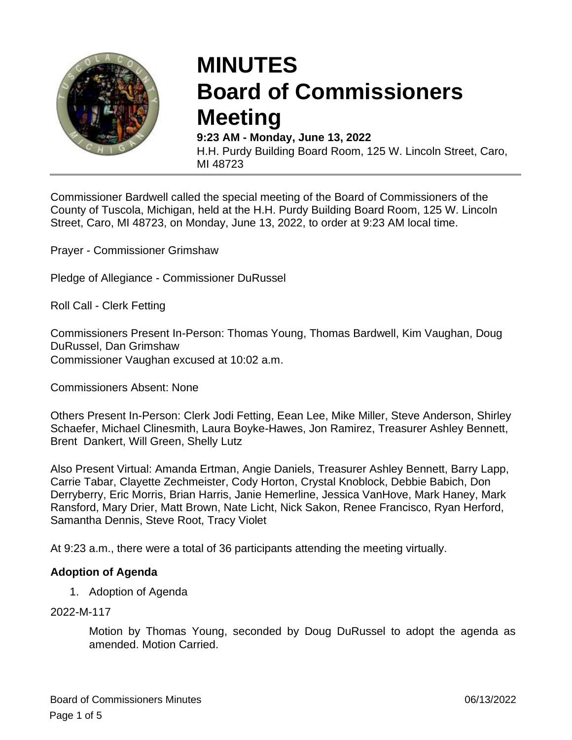

# **MINUTES Board of Commissioners Meeting**

**9:23 AM - Monday, June 13, 2022** H.H. Purdy Building Board Room, 125 W. Lincoln Street, Caro, MI 48723

Commissioner Bardwell called the special meeting of the Board of Commissioners of the County of Tuscola, Michigan, held at the H.H. Purdy Building Board Room, 125 W. Lincoln Street, Caro, MI 48723, on Monday, June 13, 2022, to order at 9:23 AM local time.

Prayer - Commissioner Grimshaw

Pledge of Allegiance - Commissioner DuRussel

Roll Call - Clerk Fetting

Commissioners Present In-Person: Thomas Young, Thomas Bardwell, Kim Vaughan, Doug DuRussel, Dan Grimshaw Commissioner Vaughan excused at 10:02 a.m.

Commissioners Absent: None

Others Present In-Person: Clerk Jodi Fetting, Eean Lee, Mike Miller, Steve Anderson, Shirley Schaefer, Michael Clinesmith, Laura Boyke-Hawes, Jon Ramirez, Treasurer Ashley Bennett, Brent Dankert, Will Green, Shelly Lutz

Also Present Virtual: Amanda Ertman, Angie Daniels, Treasurer Ashley Bennett, Barry Lapp, Carrie Tabar, Clayette Zechmeister, Cody Horton, Crystal Knoblock, Debbie Babich, Don Derryberry, Eric Morris, Brian Harris, Janie Hemerline, Jessica VanHove, Mark Haney, Mark Ransford, Mary Drier, Matt Brown, Nate Licht, Nick Sakon, Renee Francisco, Ryan Herford, Samantha Dennis, Steve Root, Tracy Violet

At 9:23 a.m., there were a total of 36 participants attending the meeting virtually.

#### **Adoption of Agenda**

1. Adoption of Agenda

2022-M-117

Motion by Thomas Young, seconded by Doug DuRussel to adopt the agenda as amended. Motion Carried.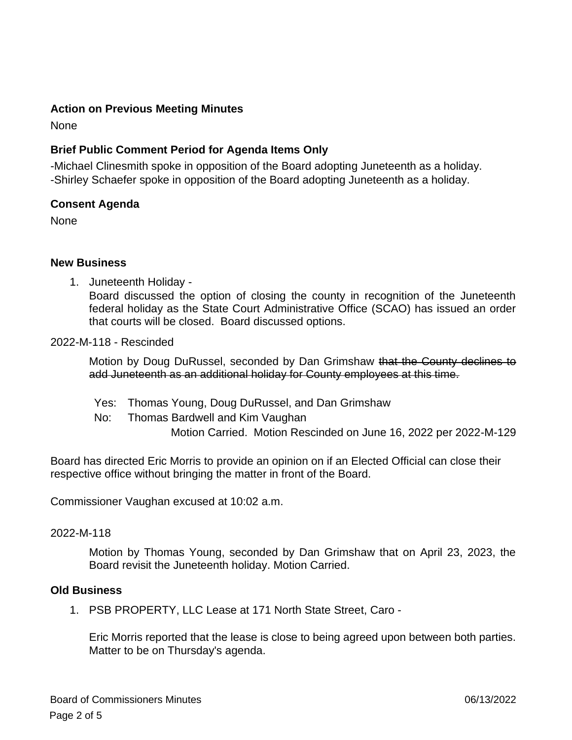## **Action on Previous Meeting Minutes**

None

# **Brief Public Comment Period for Agenda Items Only**

-Michael Clinesmith spoke in opposition of the Board adopting Juneteenth as a holiday. -Shirley Schaefer spoke in opposition of the Board adopting Juneteenth as a holiday.

#### **Consent Agenda**

None

## **New Business**

1. Juneteenth Holiday -

Board discussed the option of closing the county in recognition of the Juneteenth federal holiday as the State Court Administrative Office (SCAO) has issued an order that courts will be closed. Board discussed options.

#### 2022-M-118 - Rescinded

Motion by Doug DuRussel, seconded by Dan Grimshaw that the County declines to add Juneteenth as an additional holiday for County employees at this time.

- Yes: Thomas Young, Doug DuRussel, and Dan Grimshaw
- No: Thomas Bardwell and Kim Vaughan

Motion Carried. Motion Rescinded on June 16, 2022 per 2022-M-129

Board has directed Eric Morris to provide an opinion on if an Elected Official can close their respective office without bringing the matter in front of the Board.

Commissioner Vaughan excused at 10:02 a.m.

#### 2022-M-118

Motion by Thomas Young, seconded by Dan Grimshaw that on April 23, 2023, the Board revisit the Juneteenth holiday. Motion Carried.

#### **Old Business**

1. PSB PROPERTY, LLC Lease at 171 North State Street, Caro -

Eric Morris reported that the lease is close to being agreed upon between both parties. Matter to be on Thursday's agenda.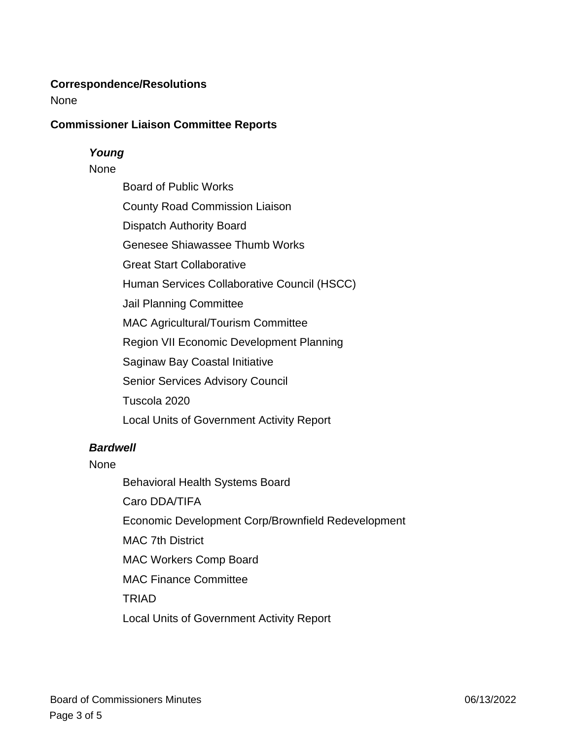#### **Correspondence/Resolutions**

None

#### **Commissioner Liaison Committee Reports**

#### *Young*

None

Board of Public Works County Road Commission Liaison Dispatch Authority Board Genesee Shiawassee Thumb Works Great Start Collaborative Human Services Collaborative Council (HSCC) Jail Planning Committee MAC Agricultural/Tourism Committee Region VII Economic Development Planning Saginaw Bay Coastal Initiative Senior Services Advisory Council Tuscola 2020 Local Units of Government Activity Report

#### *Bardwell*

None

Behavioral Health Systems Board Caro DDA/TIFA Economic Development Corp/Brownfield Redevelopment MAC 7th District MAC Workers Comp Board MAC Finance Committee TRIAD Local Units of Government Activity Report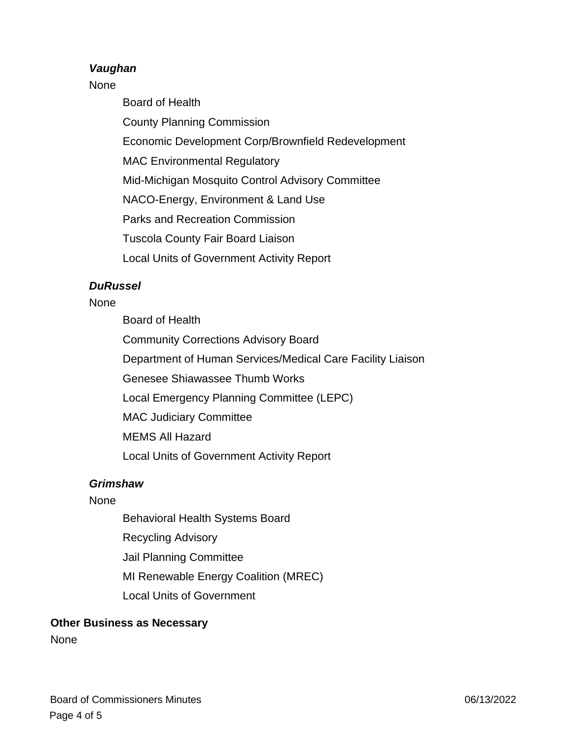## *Vaughan*

## None

Board of Health

County Planning Commission

Economic Development Corp/Brownfield Redevelopment

MAC Environmental Regulatory

Mid-Michigan Mosquito Control Advisory Committee

NACO-Energy, Environment & Land Use

Parks and Recreation Commission

Tuscola County Fair Board Liaison

Local Units of Government Activity Report

# *DuRussel*

None

Board of Health Community Corrections Advisory Board Department of Human Services/Medical Care Facility Liaison Genesee Shiawassee Thumb Works Local Emergency Planning Committee (LEPC) MAC Judiciary Committee MEMS All Hazard Local Units of Government Activity Report

# *Grimshaw*

None

Behavioral Health Systems Board Recycling Advisory Jail Planning Committee MI Renewable Energy Coalition (MREC) Local Units of Government

# **Other Business as Necessary**

None